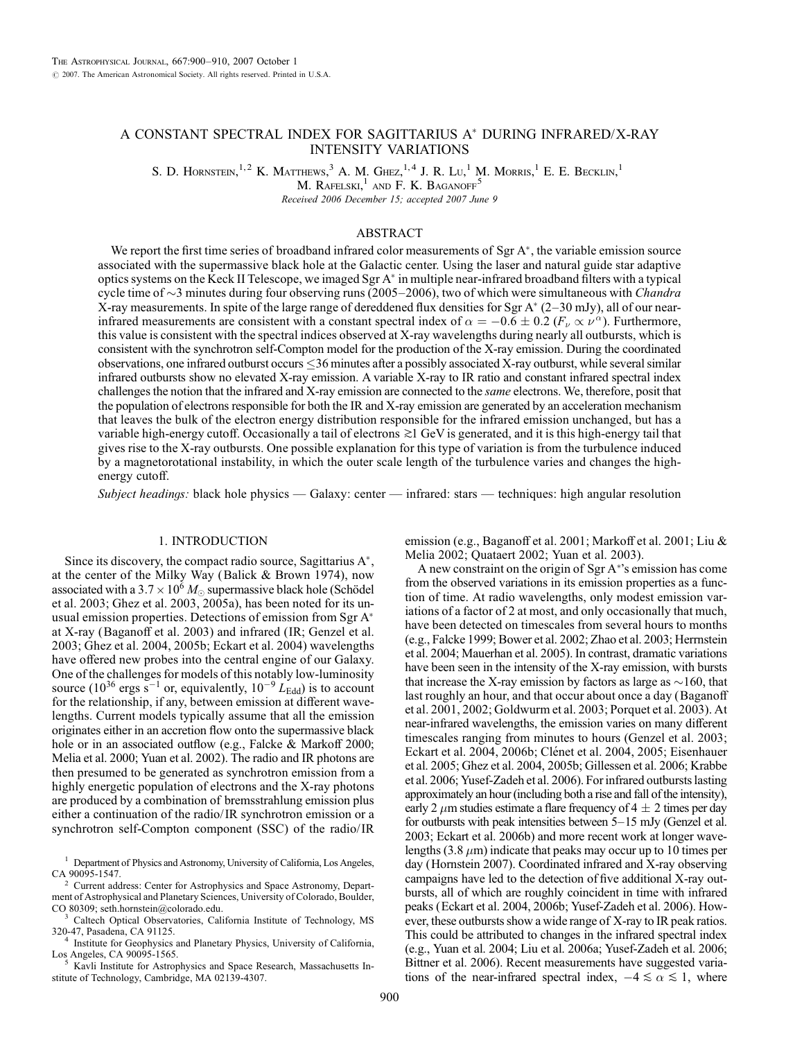# A CONSTANT SPECTRAL INDEX FOR SAGITTARIUS A<sup>\*</sup> DURING INFRARED/X-RAY INTENSITY VARIATIONS

S. D. HORNSTEIN,<sup>1,2</sup> K. MATTHEWS,<sup>3</sup> A. M. GHEZ,<sup>1,4</sup> J. R. Lu,<sup>1</sup> M. MORRIS,<sup>1</sup> E. E. BECKLIN,<sup>1</sup>

M. RAFELSKI, $<sup>1</sup>$  and F. K. BAGANOFF<sup>5</sup></sup>

Received 2006 December 15; accepted 2007 June 9

# ABSTRACT

We report the first time series of broadband infrared color measurements of  $Sgr A^*$ , the variable emission source associated with the supermassive black hole at the Galactic center. Using the laser and natural guide star adaptive optics systems on the Keck II Telescope, we imaged Sgr A in multiple near-infrared broadband filters with a typical cycle time of  $\sim$ 3 minutes during four observing runs (2005–2006), two of which were simultaneous with Chandra X-ray measurements. In spite of the large range of dereddened flux densities for Sgr A\* (2–30 mJy), all of our nearinfrared measurements are consistent with a constant spectral index of  $\alpha = -0.6 \pm 0.2$  ( $F_\nu \propto \nu^{\alpha}$ ). Furthermore, this value is consistent with the spectral indices observed at X-ray wavelengths during nearly all outbursts, which is consistent with the synchrotron self-Compton model for the production of the X-ray emission. During the coordinated observations, one infrared outburst occurs 36 minutes after a possibly associated X-ray outburst, while several similar infrared outbursts show no elevated X-ray emission. A variable X-ray to IR ratio and constant infrared spectral index challenges the notion that the infrared and X-ray emission are connected to the same electrons. We, therefore, posit that the population of electrons responsible for both the IR and X-ray emission are generated by an acceleration mechanism that leaves the bulk of the electron energy distribution responsible for the infrared emission unchanged, but has a variable high-energy cutoff. Occasionally a tail of electrons  $\gtrsim 1$  GeV is generated, and it is this high-energy tail that gives rise to the X-ray outbursts. One possible explanation for this type of variation is from the turbulence induced by a magnetorotational instability, in which the outer scale length of the turbulence varies and changes the highenergy cutoff.

Subject headinggs: black hole physics — Galaxy: center — infrared: stars — techniques: high angular resolution

# 1. INTRODUCTION

Since its discovery, the compact radio source, Sagittarius  $A^*$ , at the center of the Milky Way (Balick & Brown 1974), now associated with a 3.7  $\times$  10<sup>6</sup>  $M_{\odot}$  supermassive black hole (Schödel et al. 2003; Ghez et al. 2003, 2005a), has been noted for its unusual emission properties. Detections of emission from Sgr A at X-ray (Baganoff et al. 2003) and infrared (IR; Genzel et al. 2003; Ghez et al. 2004, 2005b; Eckart et al. 2004) wavelengths have offered new probes into the central engine of our Galaxy. One of the challenges for models of this notably low-luminosity source (10<sup>36</sup> ergs s<sup>-1</sup> or, equivalently,  $10^{-9} L_{\text{Edd}}$ ) is to account for the relationship, if any, between emission at different wavelengths. Current models typically assume that all the emission originates either in an accretion flow onto the supermassive black hole or in an associated outflow (e.g., Falcke & Markoff 2000; Melia et al. 2000; Yuan et al. 2002). The radio and IR photons are then presumed to be generated as synchrotron emission from a highly energetic population of electrons and the X-ray photons are produced by a combination of bremsstrahlung emission plus either a continuation of the radio/ IR synchrotron emission or a synchrotron self-Compton component (SSC) of the radio/ IR

<sup>1</sup> Department of Physics and Astronomy, University of California, Los Angeles, CA 90095-1547.

<sup>2</sup> Current address: Center for Astrophysics and Space Astronomy, Department of Astrophysical and Planetary Sciences, University of Colorado, Boulder, CO 80309; seth.hornstein@colorado.edu.

<sup>3</sup> Caltech Optical Observatories, California Institute of Technology, MS

320-47, Pasadena, CA 91125.<br><sup>4</sup> Institute for Geophysics and Planetary Physics, University of California, Los Angeles, CA 90095-1565.

Kavli Institute for Astrophysics and Space Research, Massachusetts Institute of Technology, Cambridge, MA 02139-4307.

emission (e.g., Baganoff et al. 2001; Markoff et al. 2001; Liu & Melia 2002; Quataert 2002; Yuan et al. 2003).

A new constraint on the origin of Sgr A 's emission has come from the observed variations in its emission properties as a function of time. At radio wavelengths, only modest emission variations of a factor of 2 at most, and only occasionally that much, have been detected on timescales from several hours to months (e.g., Falcke 1999; Bower et al. 2002; Zhao et al. 2003; Herrnstein et al. 2004; Mauerhan et al. 2005). In contrast, dramatic variations have been seen in the intensity of the X-ray emission, with bursts that increase the X-ray emission by factors as large as  $\sim$ 160, that last roughly an hour, and that occur about once a day (Baganoff et al. 2001, 2002; Goldwurm et al. 2003; Porquet et al. 2003). At near-infrared wavelengths, the emission varies on many different timescales ranging from minutes to hours (Genzel et al. 2003; Eckart et al. 2004, 2006b; Clénet et al. 2004, 2005; Eisenhauer et al. 2005; Ghez et al. 2004, 2005b; Gillessen et al. 2006; Krabbe et al. 2006; Yusef-Zadeh et al. 2006). For infrared outbursts lasting approximately an hour (including both a rise and fall of the intensity), early 2  $\mu$ m studies estimate a flare frequency of 4  $\pm$  2 times per day for outbursts with peak intensities between  $5-15$  mJy (Genzel et al. 2003; Eckart et al. 2006b) and more recent work at longer wavelengths (3.8  $\mu$ m) indicate that peaks may occur up to 10 times per day (Hornstein 2007). Coordinated infrared and X-ray observing campaigns have led to the detection of five additional X-ray outbursts, all of which are roughly coincident in time with infrared peaks (Eckart et al. 2004, 2006b; Yusef-Zadeh et al. 2006). However, these outbursts show a wide range of X-ray to IR peak ratios. This could be attributed to changes in the infrared spectral index (e.g., Yuan et al. 2004; Liu et al. 2006a; Yusef-Zadeh et al. 2006; Bittner et al. 2006). Recent measurements have suggested variations of the near-infrared spectral index,  $-4 \le \alpha \le 1$ , where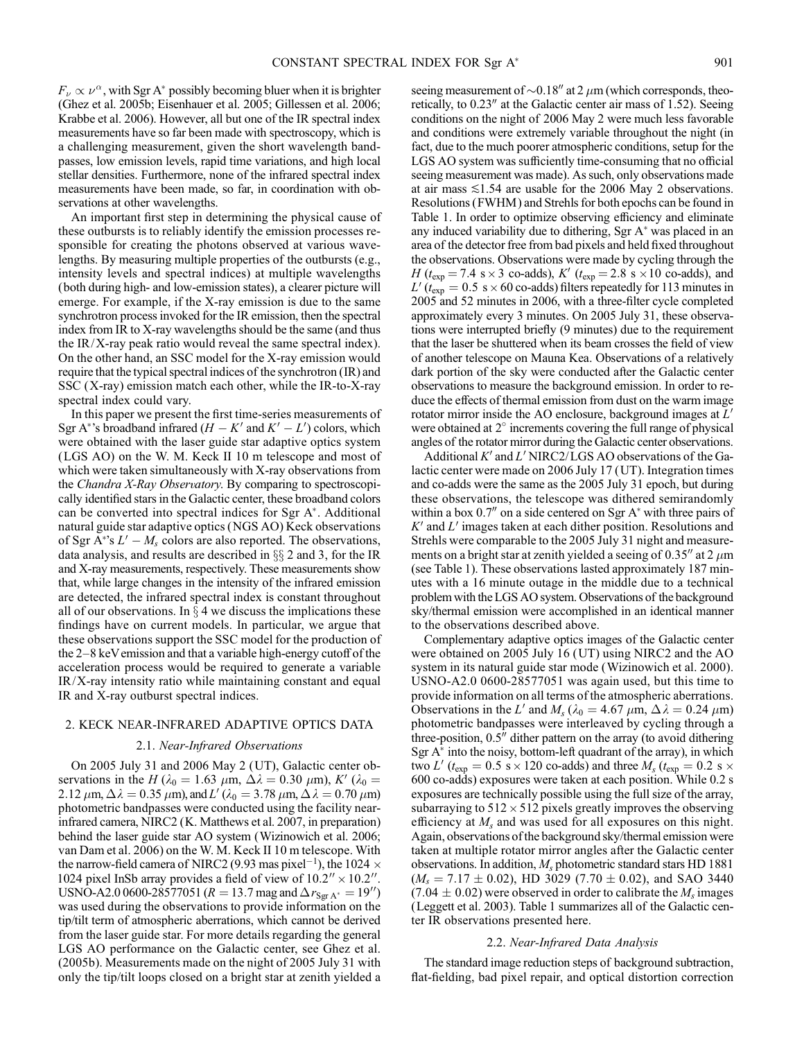$F_{\nu} \propto \nu^{\alpha}$ , with Sgr A\* possibly becoming bluer when it is brighter (Ghez et al. 2005b; Eisenhauer et al. 2005; Gillessen et al. 2006; Krabbe et al. 2006). However, all but one of the IR spectral index measurements have so far been made with spectroscopy, which is a challenging measurement, given the short wavelength bandpasses, low emission levels, rapid time variations, and high local stellar densities. Furthermore, none of the infrared spectral index measurements have been made, so far, in coordination with observations at other wavelengths.

An important first step in determining the physical cause of these outbursts is to reliably identify the emission processes responsible for creating the photons observed at various wavelengths. By measuring multiple properties of the outbursts (e.g., intensity levels and spectral indices) at multiple wavelengths (both during high- and low-emission states), a clearer picture will emerge. For example, if the X-ray emission is due to the same synchrotron process invoked for the IR emission, then the spectral index from IR to X-ray wavelengths should be the same (and thus the  $IR/X$ -ray peak ratio would reveal the same spectral index). On the other hand, an SSC model for the X-ray emission would require that the typical spectral indices of the synchrotron (IR) and SSC (X-ray) emission match each other, while the IR-to-X-ray spectral index could vary.

In this paper we present the first time-series measurements of Sgr A\*'s broadband infrared  $(H - K'$  and  $K' - L'$ ) colors, which were obtained with the laser guide star adaptive optics system (LGS AO) on the W. M. Keck II 10 m telescope and most of which were taken simultaneously with X-ray observations from the Chandra X-Ray Observatory. By comparing to spectroscopically identified stars in the Galactic center, these broadband colors can be converted into spectral indices for Sgr A<sup>\*</sup>. Additional natural guide star adaptive optics (NGS AO) Keck observations of Sgr  $\overline{A}^*s L' - M_s$  colors are also reported. The observations, data analysis, and results are described in  $\S\S 2$  and 3, for the IR and X-ray measurements, respectively. These measurements show that, while large changes in the intensity of the infrared emission are detected, the infrared spectral index is constant throughout all of our observations. In  $\S 4$  we discuss the implications these findings have on current models. In particular, we argue that these observations support the SSC model for the production of the  $2-8$  keV emission and that a variable high-energy cutoff of the acceleration process would be required to generate a variable IR/X-ray intensity ratio while maintaining constant and equal IR and X-ray outburst spectral indices.

# 2. KECK NEAR-INFRARED ADAPTIVE OPTICS DATA

# 2.1. Near-Infrared Observations

On 2005 July 31 and 2006 May 2 (UT), Galactic center observations in the H ( $\lambda_0 = 1.63 \mu$ m,  $\Delta \lambda = 0.30 \mu$ m), K' ( $\lambda_0 =$ 2.12  $\mu$ m,  $\Delta \lambda = 0.35 \mu$ m), and L' ( $\lambda_0 = 3.78 \mu$ m,  $\Delta \lambda = 0.70 \mu$ m) photometric bandpasses were conducted using the facility nearinfrared camera, NIRC2 (K. Matthews et al. 2007, in preparation) behind the laser guide star AO system (Wizinowich et al. 2006; van Dam et al. 2006) on the W. M. Keck II 10 m telescope. With the narrow-field camera of NIRC2 (9.93 mas pixel $^{-1}$ ), the 1024  $\times$ 1024 pixel InSb array provides a field of view of  $10.2'' \times 10.2''$ . USNO-A2.0 0600-28577051 ( $R = 13.7$  mag and  $\Delta r_{Sgr A^*} = 19''$ ) was used during the observations to provide information on the tip/tilt term of atmospheric aberrations, which cannot be derived from the laser guide star. For more details regarding the general LGS AO performance on the Galactic center, see Ghez et al. (2005b). Measurements made on the night of 2005 July 31 with only the tip/tilt loops closed on a bright star at zenith yielded a

seeing measurement of  $\sim$  0.18" at 2  $\mu$ m (which corresponds, theoretically, to  $0.23''$  at the Galactic center air mass of 1.52). Seeing conditions on the night of 2006 May 2 were much less favorable and conditions were extremely variable throughout the night (in fact, due to the much poorer atmospheric conditions, setup for the LGS AO system was sufficiently time-consuming that no official seeing measurement was made). As such, only observations made at air mass  $\leq 1.54$  are usable for the 2006 May 2 observations. Resolutions (FWHM ) and Strehls for both epochs can be found in Table 1. In order to optimize observing efficiency and eliminate any induced variability due to dithering, Sgr  $A^*$  was placed in an area of the detector free from bad pixels and held fixed throughout the observations. Observations were made by cycling through the  $H(t_{\text{exp}} = 7.4 \text{ s} \times 3 \text{ co-ads}), K'(t_{\text{exp}} = 2.8 \text{ s} \times 10 \text{ co-ads}),$  and  $L'(t_{exp} = 0.5 \text{ s} \times 60 \text{ co-ads})$  filters repeatedly for 113 minutes in 2005 and 52 minutes in 2006, with a three-filter cycle completed approximately every 3 minutes. On 2005 July 31, these observations were interrupted briefly (9 minutes) due to the requirement that the laser be shuttered when its beam crosses the field of view of another telescope on Mauna Kea. Observations of a relatively dark portion of the sky were conducted after the Galactic center observations to measure the background emission. In order to reduce the effects of thermal emission from dust on the warm image rotator mirror inside the AO enclosure, background images at  $L'$ were obtained at  $2^{\circ}$  increments covering the full range of physical angles of the rotator mirror during the Galactic center observations.

Additional  $K'$  and  $L'$  NIRC2/LGS AO observations of the Galactic center were made on 2006 July 17 (UT). Integration times and co-adds were the same as the 2005 July 31 epoch, but during these observations, the telescope was dithered semirandomly within a box  $0.7<sup>′</sup>$  on a side centered on Sgr A $*$  with three pairs of  $K'$  and  $L'$  images taken at each dither position. Resolutions and Strehls were comparable to the 2005 July 31 night and measurements on a bright star at zenith yielded a seeing of  $0.35''$  at 2  $\mu$ m (see Table 1). These observations lasted approximately 187 minutes with a 16 minute outage in the middle due to a technical problem with the LGS AO system. Observations of the background sky/thermal emission were accomplished in an identical manner to the observations described above.

Complementary adaptive optics images of the Galactic center were obtained on 2005 July 16 (UT) using NIRC2 and the AO system in its natural guide star mode (Wizinowich et al. 2000). USNO-A2.0 0600-28577051 was again used, but this time to provide information on all terms of the atmospheric aberrations. Observations in the L' and  $M_s$  ( $\lambda_0 = 4.67 \ \mu \text{m}, \Delta \lambda = 0.24 \ \mu \text{m}$ ) photometric bandpasses were interleaved by cycling through a three-position,  $0.5$ <sup>"</sup> dither pattern on the array (to avoid dithering Sgr  $A^*$  into the noisy, bottom-left quadrant of the array), in which two L' ( $t_{\rm exp}$  = 0.5 s × 120 co-adds) and three  $M_s$  ( $t_{\rm exp}$  = 0.2 s × 600 co-adds) exposures were taken at each position. While 0.2 s exposures are technically possible using the full size of the array, subarraying to  $512 \times 512$  pixels greatly improves the observing efficiency at  $M_s$  and was used for all exposures on this night. Again, observations of the background sky/thermal emission were taken at multiple rotator mirror angles after the Galactic center observations. In addition,  $M_s$  photometric standard stars HD 1881  $(M_s = 7.17 \pm 0.02)$ , HD 3029 (7.70  $\pm$  0.02), and SAO 3440  $(7.04 \pm 0.02)$  were observed in order to calibrate the  $M_s$  images (Leggett et al. 2003). Table 1 summarizes all of the Galactic center IR observations presented here.

# 2.2. Near-Infrared Data Analysis

The standard image reduction steps of background subtraction, flat-fielding, bad pixel repair, and optical distortion correction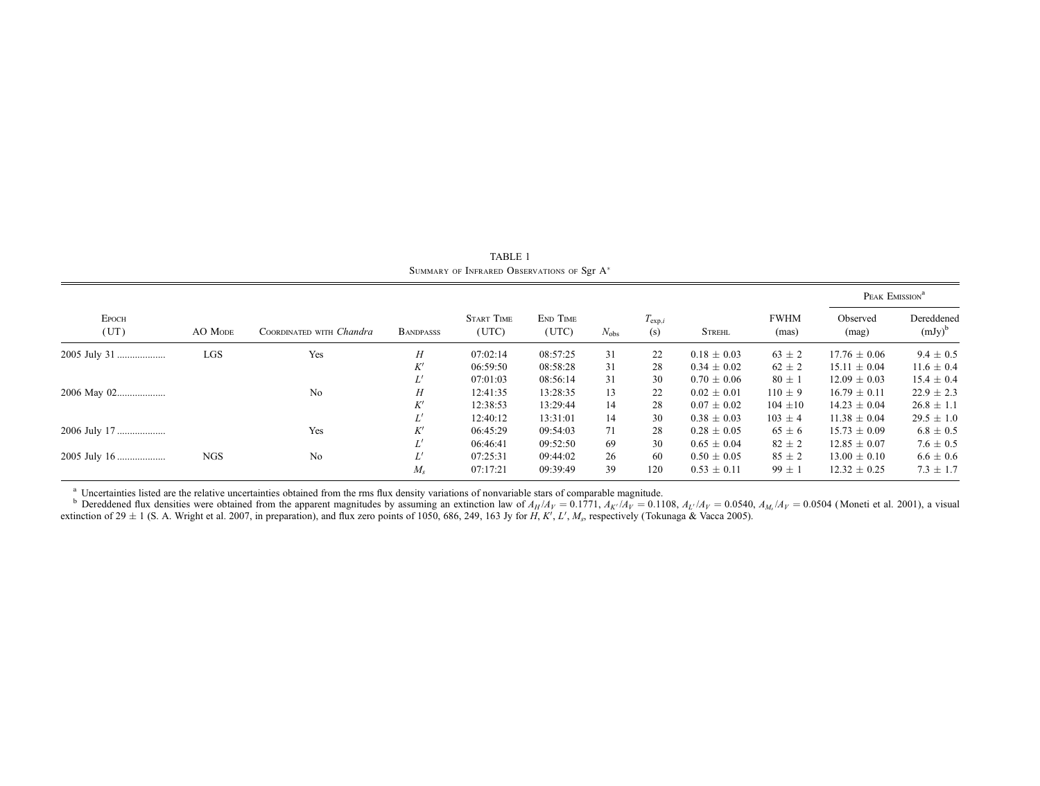| <b>EPOCH</b><br>(UT) | AO MODE    | COORDINATED WITH Chandra | <b>BANDPASSS</b> | <b>START TIME</b><br>(UTC) | END TIME<br>(UTC) | $N_{\rm obs}$ | $T_{\mathrm{exp},i}$<br>(s) | <b>STREHL</b>   | <b>FWHM</b><br>(mas) | PEAK EMISSION <sup>a</sup> |                         |
|----------------------|------------|--------------------------|------------------|----------------------------|-------------------|---------------|-----------------------------|-----------------|----------------------|----------------------------|-------------------------|
|                      |            |                          |                  |                            |                   |               |                             |                 |                      | Observed<br>(mag)          | Dereddened<br>$(mJy)^b$ |
| 2005 July 31         | LGS        | Yes                      | Н                | 07:02:14                   | 08:57:25          | 31            | 22                          | $0.18 \pm 0.03$ | $63 \pm 2$           | $17.76 \pm 0.06$           | $9.4 \pm 0.5$           |
|                      |            |                          | K'               | 06:59:50                   | 08:58:28          | 31            | 28                          | $0.34 \pm 0.02$ | $62 \pm 2$           | $15.11 \pm 0.04$           | $11.6 \pm 0.4$          |
|                      |            |                          |                  | 07:01:03                   | 08:56:14          | 31            | 30                          | $0.70 \pm 0.06$ | $80 \pm 1$           | $12.09 \pm 0.03$           | $15.4 \pm 0.4$          |
| 2006 May 02          |            | No                       | H                | 12:41:35                   | 13:28:35          | 13            | 22                          | $0.02 \pm 0.01$ | $110 \pm 9$          | $16.79 \pm 0.11$           | $22.9 \pm 2.3$          |
|                      |            |                          | K'               | 12:38:53                   | 13:29:44          | 14            | 28                          | $0.07 \pm 0.02$ | $104 \pm 10$         | $14.23 \pm 0.04$           | $26.8 \pm 1.1$          |
|                      |            |                          |                  | 12:40:12                   | 13:31:01          | 14            | 30                          | $0.38 \pm 0.03$ | $103 \pm 4$          | $11.38 \pm 0.04$           | $29.5 \pm 1.0$          |
| 2006 July 17         |            | Yes                      | K'               | 06:45:29                   | 09:54:03          | 71            | 28                          | $0.28 \pm 0.05$ | $65 \pm 6$           | $15.73 \pm 0.09$           | $6.8 \pm 0.5$           |
|                      |            |                          | Ľ                | 06:46:41                   | 09:52:50          | 69            | 30                          | $0.65 \pm 0.04$ | $82 \pm 2$           | $12.85 \pm 0.07$           | $7.6 \pm 0.5$           |
|                      | <b>NGS</b> | No                       | Ľ'               | 07:25:31                   | 09:44:02          | 26            | 60                          | $0.50 \pm 0.05$ | $85 \pm 2$           | $13.00 \pm 0.10$           | $6.6 \pm 0.6$           |
|                      |            |                          | M.               | 07:17:21                   | 09:39:49          | 39            | 120                         | $0.53 \pm 0.11$ | $99 \pm 1$           | $12.32 \pm 0.25$           | $7.3 \pm 1.7$           |

TABLE 1 SUMMARY OF INFRARED OBSERVATIONS OF Sgr A<sup>\*</sup>

<sup>a</sup> Uncertainties listed are the relative uncertainties obtained from the rms flux density variations of nonvariable stars of comparable magnitude.<br><sup>b</sup> Dereddened flux densities were obtained from the apparent magnitudes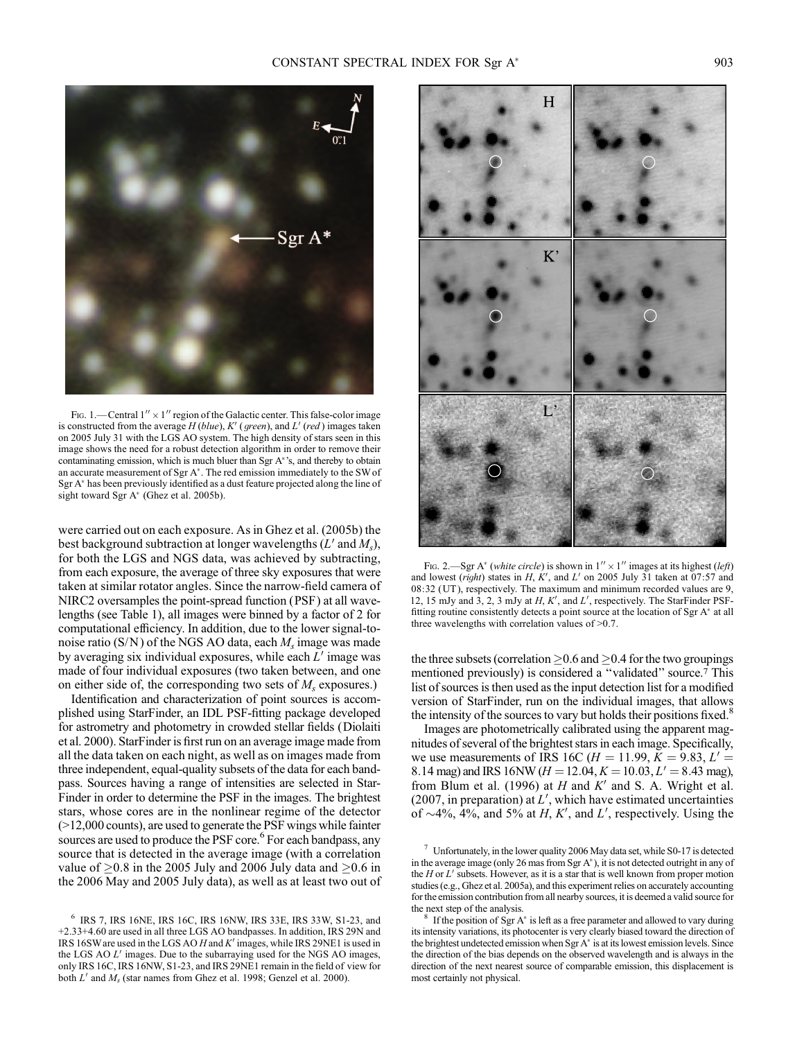

Fig. 1.—Central  $1'' \times 1''$  region of the Galactic center. This false-color image is constructed from the average  $H$  (blue),  $K'$  (green), and  $L'$  (red) images taken on 2005 July 31 with the LGS AO system. The high density of stars seen in this image shows the need for a robust detection algorithm in order to remove their contaminating emission, which is much bluer than Sgr A\*'s, and thereby to obtain an accurate measurement of Sgr  $A^*$ . The red emission immediately to the SW of Sgr A\* has been previously identified as a dust feature projected along the line of sight toward Sgr A<sup>\*</sup> (Ghez et al. 2005b).

were carried out on each exposure. As in Ghez et al. (2005b) the best background subtraction at longer wavelengths  $(L'$  and  $M_s)$ , for both the LGS and NGS data, was achieved by subtracting, from each exposure, the average of three sky exposures that were taken at similar rotator angles. Since the narrow-field camera of NIRC2 oversamples the point-spread function (PSF) at all wavelengths (see Table 1), all images were binned by a factor of 2 for computational efficiency. In addition, due to the lower signal-tonoise ratio (S/N) of the NGS AO data, each  $M_s$  image was made by averaging six individual exposures, while each  $L'$  image was made of four individual exposures (two taken between, and one on either side of, the corresponding two sets of  $M_s$  exposures.)

Identification and characterization of point sources is accomplished using StarFinder, an IDL PSF-fitting package developed for astrometry and photometry in crowded stellar fields (Diolaiti et al. 2000). StarFinder is first run on an average image made from all the data taken on each night, as well as on images made from three independent, equal-quality subsets of the data for each bandpass. Sources having a range of intensities are selected in Star-Finder in order to determine the PSF in the images. The brightest stars, whose cores are in the nonlinear regime of the detector (>12,000 counts), are used to generate the PSF wings while fainter sources are used to produce the PSF core.<sup>6</sup> For each bandpass, any source that is detected in the average image (with a correlation value of  $\geq$ 0.8 in the 2005 July and 2006 July data and  $\geq$ 0.6 in the 2006 May and 2005 July data), as well as at least two out of



Fig. 2.—Sgr A<sup>\*</sup> (white circle) is shown in  $1'' \times 1''$  images at its highest (left) and lowest (right) states in H, K', and L' on 2005 July 31 taken at 07:57 and 08:32 (UT ), respectively. The maximum and minimum recorded values are 9, 12, 15 mJy and  $3$ , 2, 3 mJy at  $H, K'$ , and  $L'$ , respectively. The StarFinder PSFfitting routine consistently detects a point source at the location of Sgr A\* at all three wavelengths with correlation values of >0.7.

the three subsets (correlation  $\geq$  0.6 and  $\geq$  0.4 for the two groupings mentioned previously) is considered a ''validated'' source.7 This list of sources is then used as the input detection list for a modified version of StarFinder, run on the individual images, that allows the intensity of the sources to vary but holds their positions fixed.<sup>8</sup>

Images are photometrically calibrated using the apparent magnitudes of several of the brightest stars in each image. Specifically, we use measurements of IRS 16C ( $H = 11.99, K = 9.83, L' =$ 8.14 mag) and IRS 16NW ( $H = 12.04, K = 10.03, L' = 8.43$  mag), from Blum et al. (1996) at  $H$  and  $K'$  and S. A. Wright et al. (2007, in preparation) at  $L'$ , which have estimated uncertainties of  $\sim$ 4%, 4%, and 5% at H, K', and L', respectively. Using the

 $\frac{7}{1}$  Unfortunately, in the lower quality 2006 May data set, while S0-17 is detected in the average image (only 26 mas from Sgr  $A^*$ ), it is not detected outright in any of the  $H$  or  $L'$  subsets. However, as it is a star that is well known from proper motion studies (e.g., Ghez et al. 2005a), and this experiment relies on accurately accounting for the emission contribution from all nearby sources, it is deemed a valid source for the next step of the analysis.

If the position of Sgr A\* is left as a free parameter and allowed to vary during its intensity variations, its photocenter is very clearly biased toward the direction of the brightest undetected emission when Sgr  $A^*$  is at its lowest emission levels. Since the direction of the bias depends on the observed wavelength and is always in the direction of the next nearest source of comparable emission, this displacement is most certainly not physical.

<sup>6</sup> IRS 7, IRS 16NE, IRS 16C, IRS 16NW, IRS 33E, IRS 33W, S1-23, and +2.33+4.60 are used in all three LGS AO bandpasses. In addition, IRS 29N and IRS 16SW are used in the LGS AO H and  $K'$  images, while IRS 29NE1 is used in the LGS AO  $L'$  images. Due to the subarraying used for the NGS AO images, only IRS 16C, IRS 16NW, S1-23, and IRS 29NE1 remain in the field of view for both  $L'$  and  $M_s$  (star names from Ghez et al. 1998; Genzel et al. 2000).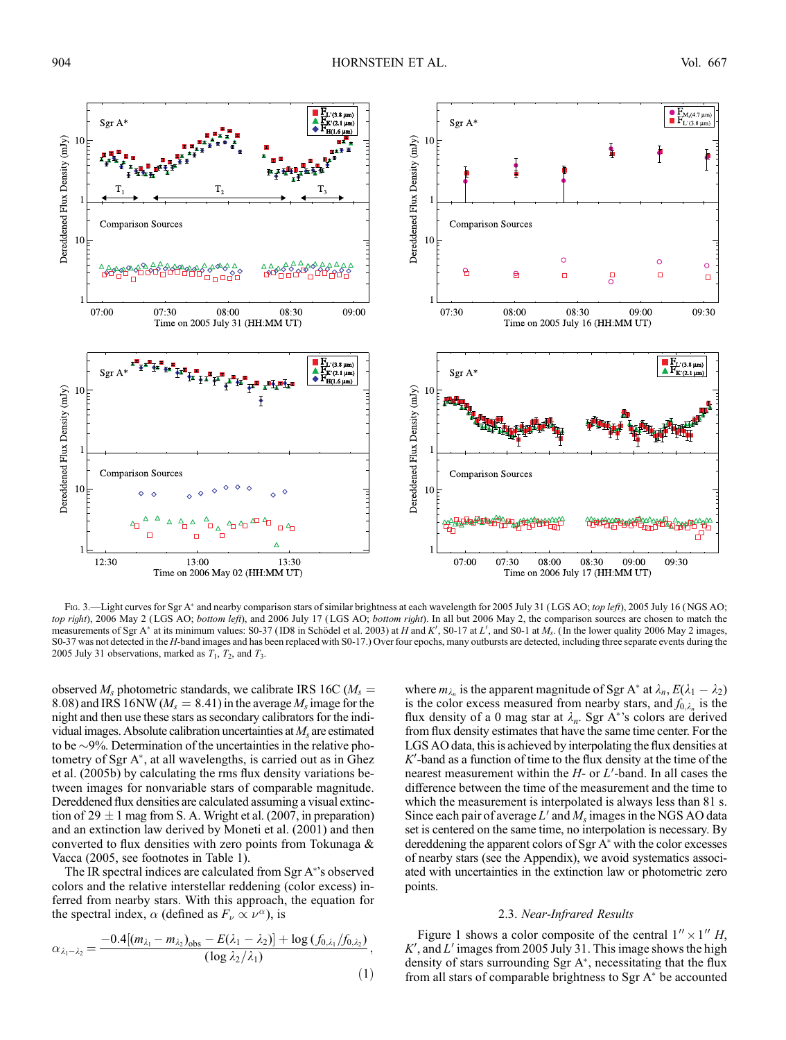

Fig. 3.—Light curves for Sgr A\* and nearby comparison stars of similar brightness at each wavelength for 2005 July 31 (LGS AO; top left), 2005 July 16 (NGS AO; top right), 2006 May 2 (LGS AO; bottom left), and 2006 July 17 (LGS AO; bottom right). In all but 2006 May 2, the comparison sources are chosen to match the measurements of Sgr A\* at its minimum values: S0-37 (ID8 in Schödel et al. 2003) at H and K', S0-17 at L', and S0-1 at  $M_s$ . (In the lower quality 2006 May 2 images, S0-37 was not detected in the H-band images and has been replaced with S0-17.) Over four epochs, many outbursts are detected, including three separate events during the 2005 July 31 observations, marked as  $T_1$ ,  $T_2$ , and  $T_3$ .

observed  $M_s$  photometric standards, we calibrate IRS 16C ( $M_s =$ 8.08) and IRS 16NW ( $M_s = 8.41$ ) in the average  $M_s$  image for the night and then use these stars as secondary calibrators for the individual images. Absolute calibration uncertainties at  $M<sub>s</sub>$  are estimated to be  $\sim$ 9%. Determination of the uncertainties in the relative photometry of Sgr  $A^*$ , at all wavelengths, is carried out as in Ghez et al. (2005b) by calculating the rms flux density variations between images for nonvariable stars of comparable magnitude. Dereddened flux densities are calculated assuming a visual extinction of  $29 \pm 1$  mag from S. A. Wright et al. (2007, in preparation) and an extinction law derived by Moneti et al. (2001) and then converted to flux densities with zero points from Tokunaga & Vacca (2005, see footnotes in Table 1).

The IR spectral indices are calculated from Sgr A 's observed colors and the relative interstellar reddening (color excess) inferred from nearby stars. With this approach, the equation for the spectral index,  $\alpha$  (defined as  $F_{\nu} \propto \nu^{\alpha}$ ), is

$$
\alpha_{\lambda_1-\lambda_2} = \frac{-0.4[(m_{\lambda_1}-m_{\lambda_2})_{\text{obs}}-E(\lambda_1-\lambda_2)]+\log(f_{0,\lambda_1}/f_{0,\lambda_2})}{(\log\lambda_2/\lambda_1)},\tag{1}
$$

where  $m_{\lambda_n}$  is the apparent magnitude of Sgr A<sup>\*</sup> at  $\lambda_n$ ,  $E(\lambda_1 - \lambda_2)$ is the color excess measured from nearby stars, and  $f_{0,\lambda_n}$  is the flux density of a 0 mag star at  $\lambda_n$ . Sgr A\*'s colors are derived from flux density estimates that have the same time center. For the LGS AO data, this is achieved by interpolating the flux densities at  $K'$ -band as a function of time to the flux density at the time of the nearest measurement within the  $H$ - or  $L'$ -band. In all cases the difference between the time of the measurement and the time to which the measurement is interpolated is always less than 81 s. Since each pair of average  $L'$  and  $M_s$  images in the NGS AO data set is centered on the same time, no interpolation is necessary. By dereddening the apparent colors of Sgr  $A^*$  with the color excesses of nearby stars (see the Appendix), we avoid systematics associated with uncertainties in the extinction law or photometric zero points.

### 2.3. Near-Infrared Results

Figure 1 shows a color composite of the central  $1'' \times 1''$  H,  $K'$ , and  $L'$  images from 2005 July 31. This image shows the high density of stars surrounding Sgr  $A^*$ , necessitating that the flux from all stars of comparable brightness to Sgr  $A^*$  be accounted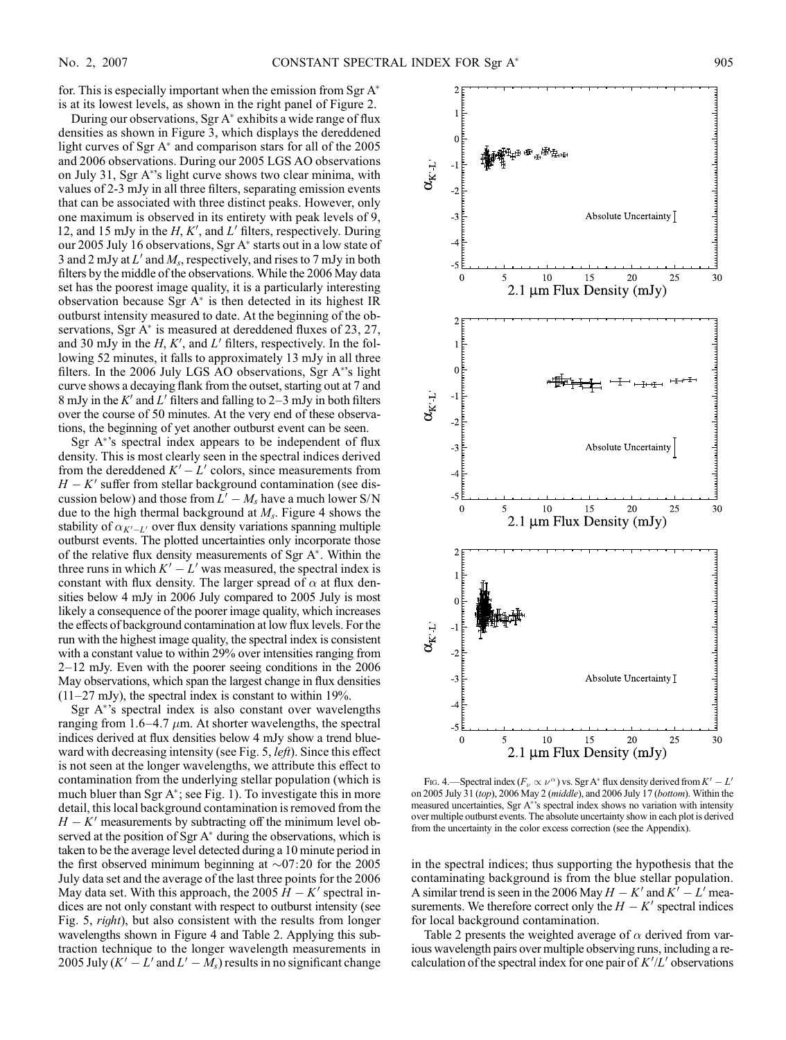for. This is especially important when the emission from Sgr  $A^*$ is at its lowest levels, as shown in the right panel of Figure 2.

During our observations, Sgr  $A^*$  exhibits a wide range of flux densities as shown in Figure 3, which displays the dereddened light curves of Sgr  $A^*$  and comparison stars for all of the 2005 and 2006 observations. During our 2005 LGS AO observations on July 31, Sgr A 's light curve shows two clear minima, with values of 2-3 mJy in all three filters, separating emission events that can be associated with three distinct peaks. However, only one maximum is observed in its entirety with peak levels of 9, 12, and 15 mJy in the  $H, K'$ , and  $L'$  filters, respectively. During our 2005 July 16 observations, Sgr  $A^*$  starts out in a low state of 3 and 2 mJy at  $L'$  and  $M_s$ , respectively, and rises to 7 mJy in both filters by the middle of the observations. While the 2006 May data set has the poorest image quality, it is a particularly interesting observation because Sgr  $A^*$  is then detected in its highest IR outburst intensity measured to date. At the beginning of the observations, Sgr  $A^*$  is measured at dereddened fluxes of 23, 27, and 30 mJy in the  $H, K'$ , and  $L'$  filters, respectively. In the following 52 minutes, it falls to approximately 13 mJy in all three filters. In the 2006 July LGS AO observations, Sgr A\*'s light curve shows a decaying flank from the outset, starting out at 7 and 8 mJy in the K' and L' filters and falling to  $2-3$  mJy in both filters over the course of 50 minutes. At the very end of these observations, the beginning of yet another outburst event can be seen.

Sgr  $A^*$ 's spectral index appears to be independent of flux density. This is most clearly seen in the spectral indices derived from the dereddened  $K'-L'$  colors, since measurements from  $H - K'$  suffer from stellar background contamination (see discussion below) and those from  $L'-M_s$  have a much lower S/N due to the high thermal background at  $M_s$ . Figure 4 shows the stability of  $\alpha_{K'-L'}$  over flux density variations spanning multiple outburst events. The plotted uncertainties only incorporate those of the relative flux density measurements of Sgr  $A^*$ . Within the three runs in which  $K'-L'$  was measured, the spectral index is constant with flux density. The larger spread of  $\alpha$  at flux densities below 4 mJy in 2006 July compared to 2005 July is most likely a consequence of the poorer image quality, which increases the effects of background contamination at low flux levels. For the run with the highest image quality, the spectral index is consistent with a constant value to within 29% over intensities ranging from  $2-12$  mJy. Even with the poorer seeing conditions in the  $2006$ May observations, which span the largest change in flux densities  $(11–27 \text{ mJy})$ , the spectral index is constant to within 19%.

Sgr  $A^*$ 's spectral index is also constant over wavelengths ranging from 1.6–4.7  $\mu$ m. At shorter wavelengths, the spectral indices derived at flux densities below 4 mJy show a trend blueward with decreasing intensity (see Fig. 5, *left*). Since this effect is not seen at the longer wavelengths, we attribute this effect to contamination from the underlying stellar population (which is much bluer than Sgr  $A^*$ ; see Fig. 1). To investigate this in more detail, this local background contamination is removed from the  $H - K'$  measurements by subtracting off the minimum level observed at the position of Sgr  $A^*$  during the observations, which is taken to be the average level detected during a 10 minute period in the first observed minimum beginning at  $\sim 07:20$  for the 2005 July data set and the average of the last three points for the 2006 May data set. With this approach, the 2005  $H - K'$  spectral indices are not only constant with respect to outburst intensity (see Fig. 5, *right*), but also consistent with the results from longer wavelengths shown in Figure 4 and Table 2. Applying this subtraction technique to the longer wavelength measurements in 2005 July  $(K'-L'$  and  $L'-M_s$ ) results in no significant change



Fig. 4.—Spectral index  $(F_\nu \propto \nu^\alpha)$  vs. Sgr A\* flux density derived from  $K'-L'$ on 2005 July 31 (top), 2006 May 2 (middle), and 2006 July 17 (bottom). Within the measured uncertainties, Sgr A's spectral index shows no variation with intensity over multiple outburst events. The absolute uncertainty show in each plot is derived from the uncertainty in the color excess correction (see the Appendix).

in the spectral indices; thus supporting the hypothesis that the contaminating background is from the blue stellar population. A similar trend is seen in the 2006 May  $H - K'$  and  $K' - L'$  measurements. We therefore correct only the  $H - K'$  spectral indices for local background contamination.

Table 2 presents the weighted average of  $\alpha$  derived from various wavelength pairs over multiple observing runs, including a recalculation of the spectral index for one pair of  $K'/L'$  observations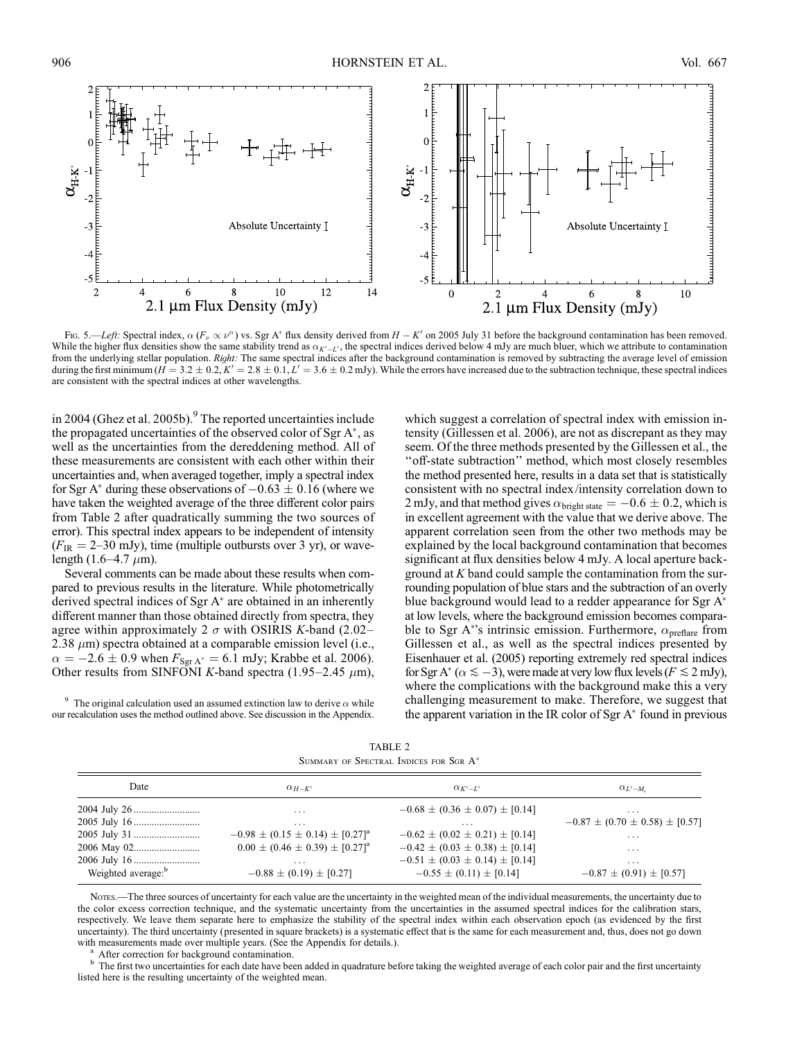

Fig. 5.—Left: Spectral index,  $\alpha$  ( $F_{\nu} \propto \nu^{\alpha}$ ) vs. Sgr A\* flux density derived from  $H - K'$  on 2005 July 31 before the background contamination has been removed. While the higher flux densities show the same stability trend as  $\alpha_{K'-L'}$ , the spectral indices derived below 4 mJy are much bluer, which we attribute to contamination from the underlying stellar population. Right: The same spectral indices after the background contamination is removed by subtracting the average level of emission during the first minimum ( $\hat{H} = 3.2 \pm 0.2$ ,  $\hat{K}' = 2.8 \pm 0.1$ ,  $L' = 3.6 \pm 0.2$  mJy). While the errors have increased due to the subtraction technique, these spectral indices are consistent with the spectral indices at other wavelengths.

in 2004 (Ghez et al. 2005b).<sup>9</sup> The reported uncertainties include the propagated uncertainties of the observed color of Sgr  $A^*$ , as well as the uncertainties from the dereddening method. All of these measurements are consistent with each other within their uncertainties and, when averaged together, imply a spectral index for Sgr A<sup>\*</sup> during these observations of  $-0.63 \pm 0.16$  (where we have taken the weighted average of the three different color pairs from Table 2 after quadratically summing the two sources of error). This spectral index appears to be independent of intensity  $(F_{IR} = 2{\text -}30 \text{ mJy})$ , time (multiple outbursts over 3 yr), or wavelength (1.6-4.7  $\mu$ m).

Several comments can be made about these results when compared to previous results in the literature. While photometrically derived spectral indices of Sgr  $A^*$  are obtained in an inherently different manner than those obtained directly from spectra, they agree within approximately 2  $\sigma$  with OSIRIS K-band (2.02-2.38  $\mu$ m) spectra obtained at a comparable emission level (i.e.,  $\alpha = -2.6 \pm 0.9$  when  $F_{\text{Sgr A}^*} = 6.1$  mJy; Krabbe et al. 2006). Other results from SINFONI K-band spectra (1.95–2.45  $\mu$ m),

<sup>9</sup> The original calculation used an assumed extinction law to derive  $\alpha$  while our recalculation uses the method outlined above. See discussion in the Appendix. which suggest a correlation of spectral index with emission intensity (Gillessen et al. 2006), are not as discrepant as they may seem. Of the three methods presented by the Gillessen et al., the ''off-state subtraction'' method, which most closely resembles the method presented here, results in a data set that is statistically consistent with no spectral index/intensity correlation down to 2 mJy, and that method gives  $\alpha_{bright\,state} = -0.6 \pm 0.2$ , which is in excellent agreement with the value that we derive above. The apparent correlation seen from the other two methods may be explained by the local background contamination that becomes significant at flux densities below 4 mJy. A local aperture background at  $K$  band could sample the contamination from the surrounding population of blue stars and the subtraction of an overly blue background would lead to a redder appearance for Sgr A at low levels, where the background emission becomes comparable to Sgr A\*'s intrinsic emission. Furthermore,  $\alpha_{\text{prefix}}$  from Gillessen et al., as well as the spectral indices presented by Eisenhauer et al. (2005) reporting extremely red spectral indices for Sgr A\* ( $\alpha \le -3$ ), were made at very low flux levels ( $F \le 2$  mJy), where the complications with the background make this a very challenging measurement to make. Therefore, we suggest that the apparent variation in the IR color of Sgr  $A^*$  found in previous

TABLE 2 SUMMARY OF SPECTRAL INDICES FOR SGR A\*

| Date                           | $\alpha_{H-K'}$                                  | $\alpha_{K'-L'}$                       | $\alpha_{L'-M_c}$                      |  |  |
|--------------------------------|--------------------------------------------------|----------------------------------------|----------------------------------------|--|--|
|                                | $\cdot$                                          | $-0.68 \pm (0.36 \pm 0.07) \pm [0.14]$ | $\cdots$                               |  |  |
|                                | $\cdot$ $\cdot$ $\cdot$                          | $\cdot$ $\cdot$ $\cdot$                | $-0.87 \pm (0.70 \pm 0.58) \pm [0.57]$ |  |  |
|                                | $-0.98 \pm (0.15 \pm 0.14) \pm [0.27]^a$         | $-0.62 \pm (0.02 \pm 0.21) \pm [0.14]$ | $\cdots$                               |  |  |
|                                | $0.00 \pm (0.46 \pm 0.39) \pm [0.27]^{\text{a}}$ | $-0.42 \pm (0.03 \pm 0.38) \pm [0.14]$ | $\cdots$                               |  |  |
|                                | $\cdot$ $\cdot$ $\cdot$                          | $-0.51 \pm (0.03 \pm 0.14) \pm [0.14]$ | $\cdot$ $\cdot$ $\cdot$                |  |  |
| Weighted average: <sup>b</sup> | $-0.88 \pm (0.19) \pm [0.27]$                    | $-0.55 \pm (0.11) \pm [0.14]$          | $-0.87 \pm (0.91) \pm [0.57]$          |  |  |

Notes.—The three sources of uncertainty for each value are the uncertainty in the weighted mean of the individual measurements, the uncertainty due to the color excess correction technique, and the systematic uncertainty from the uncertainties in the assumed spectral indices for the calibration stars, respectively. We leave them separate here to emphasize the stability of the spectral index within each observation epoch (as evidenced by the first uncertainty). The third uncertainty (presented in square brackets) is a systematic effect that is the same for each measurement and, thus, does not go down

with measurements made over multiple years. (See the Appendix for details.).<br><sup>a</sup> After correction for background contamination.<br><sup>b</sup> The first two uncertainties for each date have been added in quadrature before taking the listed here is the resulting uncertainty of the weighted mean.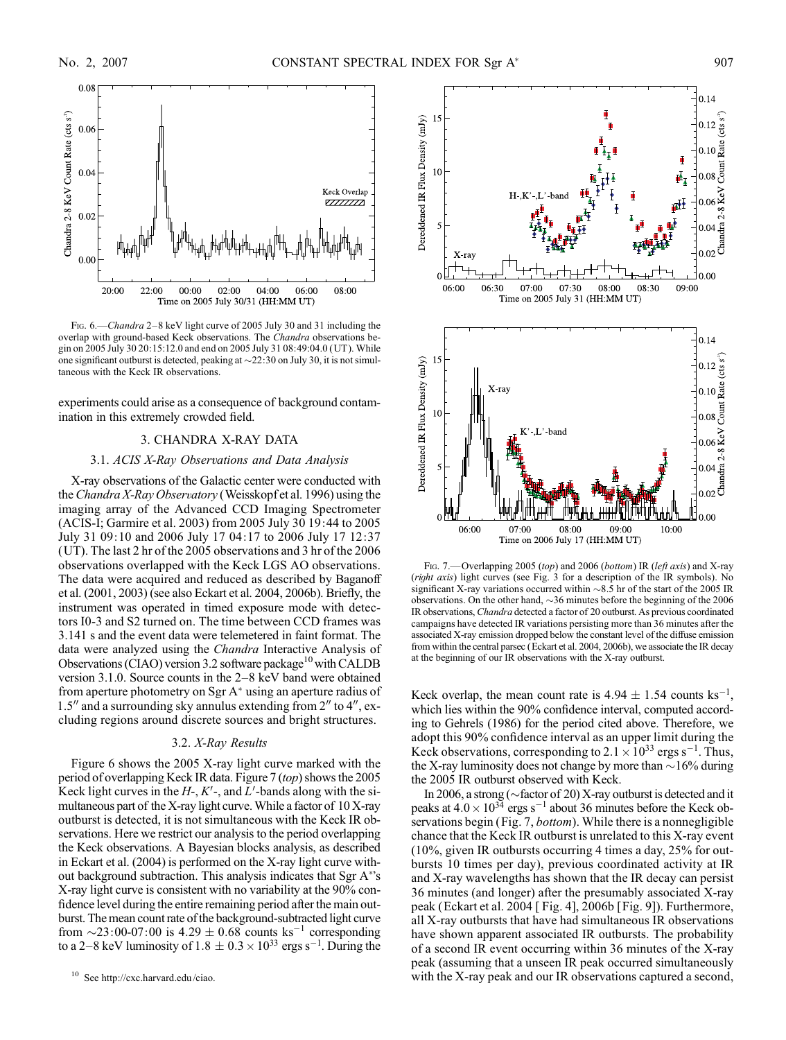

FIG. 6.—Chandra 2-8 keV light curve of 2005 July 30 and 31 including the overlap with ground-based Keck observations. The Chandra observations begin on 2005 July 30 20:15:12.0 and end on 2005 July 31 08:49:04.0 (UT ). While one significant outburst is detected, peaking at  $\sim$ 22:30 on July 30, it is not simultaneous with the Keck IR observations.

experiments could arise as a consequence of background contamination in this extremely crowded field.

# 3. CHANDRA X-RAY DATA

## 3.1. ACIS X-Ray Observations and Data Analysis

X-ray observations of the Galactic center were conducted with the *Chandra X-Ray Observatory* (Weisskopf et al. 1996) using the imaging array of the Advanced CCD Imaging Spectrometer (ACIS-I; Garmire et al. 2003) from 2005 July 30 19:44 to 2005 July 31 09:10 and 2006 July 17 04:17 to 2006 July 17 12:37 (UT). The last 2 hr of the 2005 observations and 3 hr of the 2006 observations overlapped with the Keck LGS AO observations. The data were acquired and reduced as described by Baganoff et al. (2001, 2003) (see also Eckart et al. 2004, 2006b). Briefly, the instrument was operated in timed exposure mode with detectors I0-3 and S2 turned on. The time between CCD frames was 3.141 s and the event data were telemetered in faint format. The data were analyzed using the Chandra Interactive Analysis of Observations (CIAO) version 3.2 software package<sup>10</sup> with CALDB version 3.1.0. Source counts in the  $2-8$  keV band were obtained from aperture photometry on Sgr  $A^*$  using an aperture radius of  $1.5$ <sup>n</sup> and a surrounding sky annulus extending from  $2$ <sup>n</sup> to  $4$ <sup>n</sup>, excluding regions around discrete sources and bright structures.

## 3.2. X-Ray Results

Figure 6 shows the 2005 X-ray light curve marked with the period of overlapping Keck IR data. Figure 7 (top) shows the 2005 Keck light curves in the  $H<sub>-</sub>$ ,  $K'$ -, and  $L'$ -bands along with the simultaneous part of the X-ray light curve.While a factor of 10 X-ray outburst is detected, it is not simultaneous with the Keck IR observations. Here we restrict our analysis to the period overlapping the Keck observations. A Bayesian blocks analysis, as described in Eckart et al. (2004) is performed on the X-ray light curve without background subtraction. This analysis indicates that Sgr A\*'s X-ray light curve is consistent with no variability at the 90% confidence level during the entire remaining period after the main outburst. The mean count rate of the background-subtracted light curve from  $\sim$ 23:00-07:00 is 4.29  $\pm$  0.68 counts ks<sup>-1</sup> corresponding to a 2–8 keV luminosity of  $1.8 \pm 0.3 \times 10^{33}$  ergs s<sup>-1</sup>. During the



FIG. 7. Overlapping 2005 (top) and 2006 (bottom) IR (left axis) and X-ray (right axis) light curves (see Fig. 3 for a description of the IR symbols). No significant X-ray variations occurred within  $\sim 8.5$  hr of the start of the 2005 IR observations. On the other hand,  $\sim$ 36 minutes before the beginning of the 2006 IR observations, Chandra detected a factor of 20 outburst. As previous coordinated campaigns have detected IR variations persisting more than 36 minutes after the associated X-ray emission dropped below the constant level of the diffuse emission from within the central parsec (Eckart et al. 2004, 2006b), we associate the IR decay at the beginning of our IR observations with the X-ray outburst.

Keck overlap, the mean count rate is  $4.94 \pm 1.54$  counts ks<sup>-1</sup>, which lies within the 90% confidence interval, computed according to Gehrels (1986) for the period cited above. Therefore, we adopt this 90% confidence interval as an upper limit during the Keck observations, corresponding to  $2.1 \times 10^{33}$  ergs s<sup>-1</sup>. Thus, the X-ray luminosity does not change by more than  $\sim$  16% during the 2005 IR outburst observed with Keck.

In 2006, a strong ( $\sim$ factor of 20) X-ray outburst is detected and it peaks at  $4.0 \times 10^{34}$  ergs s<sup>-1</sup> about 36 minutes before the Keck observations begin (Fig. 7, bottom). While there is a nonnegligible chance that the Keck IR outburst is unrelated to this X-ray event (10%, given IR outbursts occurring 4 times a day, 25% for outbursts 10 times per day), previous coordinated activity at IR and X-ray wavelengths has shown that the IR decay can persist 36 minutes (and longer) after the presumably associated X-ray peak (Eckart et al. 2004 [ Fig. 4], 2006b [Fig. 9]). Furthermore, all X-ray outbursts that have had simultaneous IR observations have shown apparent associated IR outbursts. The probability of a second IR event occurring within 36 minutes of the X-ray peak (assuming that a unseen IR peak occurred simultaneously with the X-ray peak and our IR observations captured a second,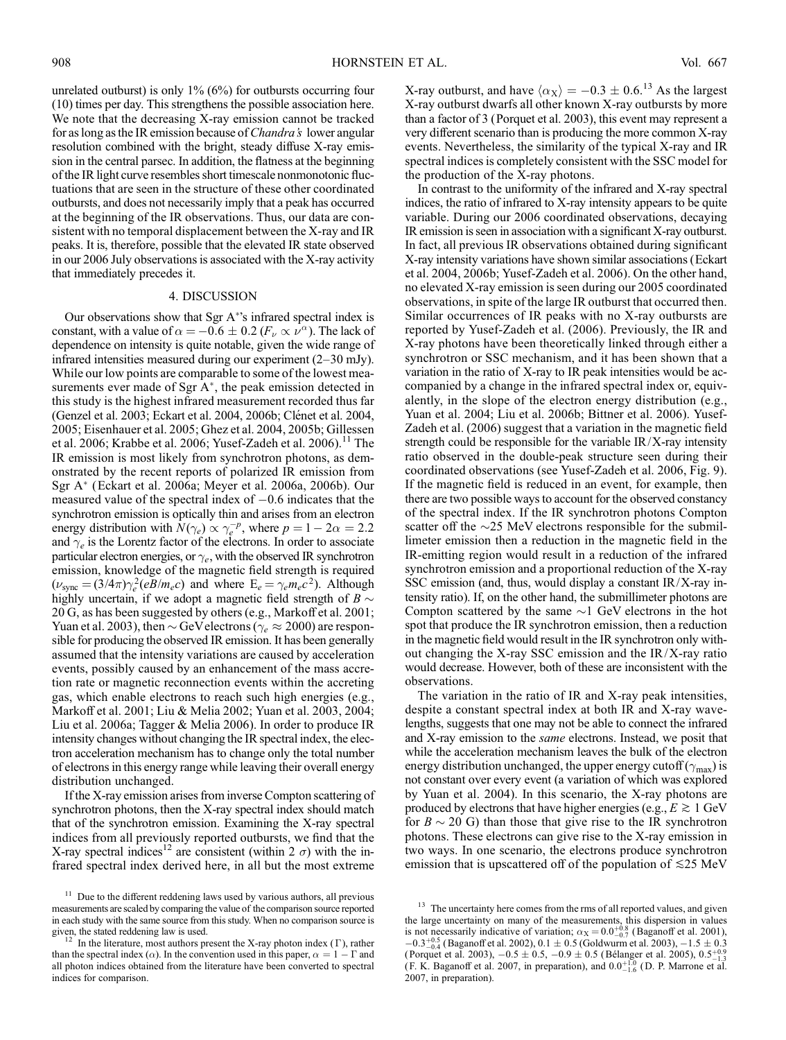unrelated outburst) is only  $1\%$  (6%) for outbursts occurring four (10) times per day. This strengthens the possible association here. We note that the decreasing X-ray emission cannot be tracked for as long as the IR emission because of *Chandra's* lower angular resolution combined with the bright, steady diffuse X-ray emission in the central parsec. In addition, the flatness at the beginning of the IR light curve resembles short timescale nonmonotonic fluctuations that are seen in the structure of these other coordinated outbursts, and does not necessarily imply that a peak has occurred at the beginning of the IR observations. Thus, our data are consistent with no temporal displacement between the X-ray and IR peaks. It is, therefore, possible that the elevated IR state observed in our 2006 July observations is associated with the X-ray activity that immediately precedes it.

# 4. DISCUSSION

Our observations show that Sgr A 's infrared spectral index is constant, with a value of  $\alpha = -0.6 \pm 0.2$  ( $F_{\nu} \propto \nu^{\alpha}$ ). The lack of dependence on intensity is quite notable, given the wide range of infrared intensities measured during our experiment  $(2-30 \text{ mJy})$ . While our low points are comparable to some of the lowest measurements ever made of Sgr  $A^*$ , the peak emission detected in this study is the highest infrared measurement recorded thus far (Genzel et al. 2003; Eckart et al. 2004, 2006b; Clénet et al. 2004, 2005; Eisenhauer et al. 2005; Ghez et al. 2004, 2005b; Gillessen et al. 2006; Krabbe et al. 2006; Yusef-Zadeh et al. 2006).<sup>11</sup> The IR emission is most likely from synchrotron photons, as demonstrated by the recent reports of polarized IR emission from Sgr A\* (Eckart et al. 2006a; Meyer et al. 2006a, 2006b). Our measured value of the spectral index of  $-0.6$  indicates that the synchrotron emission is optically thin and arises from an electron energy distribution with  $N(\gamma_e) \propto \gamma_e^{-p}$ , where  $p = 1 - 2\alpha = 2.2$ and  $\gamma_e$  is the Lorentz factor of the electrons. In order to associate particular electron energies, or  $\gamma_e$ , with the observed IR synchrotron emission, knowledge of the magnetic field strength is required  $(\nu_{\text{sync}} = (3/4\pi)\gamma_e^2(eB/m_e c)$  and where  $E_e = \gamma_e m_e c^2$ ). Although highly uncertain, if we adopt a magnetic field strength of  $B \sim$ 20 G, as has been suggested by others (e.g., Markoff et al. 2001; Yuan et al. 2003), then  $\sim$  GeV electrons ( $\gamma_e \approx 2000$ ) are responsible for producing the observed IR emission. It has been generally assumed that the intensity variations are caused by acceleration events, possibly caused by an enhancement of the mass accretion rate or magnetic reconnection events within the accreting gas, which enable electrons to reach such high energies (e.g., Markoff et al. 2001; Liu & Melia 2002; Yuan et al. 2003, 2004; Liu et al. 2006a; Tagger & Melia 2006). In order to produce IR intensity changes without changing the IR spectral index, the electron acceleration mechanism has to change only the total number of electrons in this energy range while leaving their overall energy distribution unchanged.

If the X-ray emission arises from inverse Compton scattering of synchrotron photons, then the X-ray spectral index should match that of the synchrotron emission. Examining the X-ray spectral indices from all previously reported outbursts, we find that the X-ray spectral indices<sup>12</sup> are consistent (within  $2 \sigma$ ) with the infrared spectral index derived here, in all but the most extreme

X-ray outburst, and have  $\langle \alpha_X \rangle = -0.3 \pm 0.6^{13}$  As the largest X-ray outburst dwarfs all other known X-ray outbursts by more than a factor of 3 (Porquet et al. 2003), this event may represent a very different scenario than is producing the more common X-ray events. Nevertheless, the similarity of the typical X-ray and IR spectral indices is completely consistent with the SSC model for the production of the X-ray photons.

In contrast to the uniformity of the infrared and X-ray spectral indices, the ratio of infrared to X-ray intensity appears to be quite variable. During our 2006 coordinated observations, decaying IR emission is seen in association with a significant X-ray outburst. In fact, all previous IR observations obtained during significant X-ray intensity variations have shown similar associations (Eckart et al. 2004, 2006b; Yusef-Zadeh et al. 2006). On the other hand, no elevated X-ray emission is seen during our 2005 coordinated observations, in spite of the large IR outburst that occurred then. Similar occurrences of IR peaks with no X-ray outbursts are reported by Yusef-Zadeh et al. (2006). Previously, the IR and X-ray photons have been theoretically linked through either a synchrotron or SSC mechanism, and it has been shown that a variation in the ratio of X-ray to IR peak intensities would be accompanied by a change in the infrared spectral index or, equivalently, in the slope of the electron energy distribution (e.g., Yuan et al. 2004; Liu et al. 2006b; Bittner et al. 2006). Yusef-Zadeh et al. (2006) suggest that a variation in the magnetic field strength could be responsible for the variable IR/X-ray intensity ratio observed in the double-peak structure seen during their coordinated observations (see Yusef-Zadeh et al. 2006, Fig. 9). If the magnetic field is reduced in an event, for example, then there are two possible ways to account for the observed constancy of the spectral index. If the IR synchrotron photons Compton scatter off the  $\sim$ 25 MeV electrons responsible for the submillimeter emission then a reduction in the magnetic field in the IR-emitting region would result in a reduction of the infrared synchrotron emission and a proportional reduction of the X-ray SSC emission (and, thus, would display a constant IR/X-ray intensity ratio). If, on the other hand, the submillimeter photons are Compton scattered by the same  $\sim$ 1 GeV electrons in the hot spot that produce the IR synchrotron emission, then a reduction in the magnetic field would result in the IR synchrotron only without changing the X-ray SSC emission and the IR/X-ray ratio would decrease. However, both of these are inconsistent with the observations.

The variation in the ratio of IR and X-ray peak intensities, despite a constant spectral index at both IR and X-ray wavelengths, suggests that one may not be able to connect the infrared and X-ray emission to the same electrons. Instead, we posit that while the acceleration mechanism leaves the bulk of the electron energy distribution unchanged, the upper energy cutoff ( $\gamma_{\text{max}}$ ) is not constant over every event (a variation of which was explored by Yuan et al. 2004). In this scenario, the X-ray photons are produced by electrons that have higher energies (e.g.,  $E \gtrsim 1 \text{ GeV}$ for  $B \sim 20$  G) than those that give rise to the IR synchrotron photons. These electrons can give rise to the X-ray emission in two ways. In one scenario, the electrons produce synchrotron emission that is upscattered off of the population of  $\leq 25$  MeV

 $11$  Due to the different reddening laws used by various authors, all previous measurements are scaled by comparing the value of the comparison source reported in each study with the same source from this study. When no comparison source is given, the stated reddening law is used.<br> $\frac{12}{12}$  In the literature meat with given, the stated reddening law is used.<br><sup>12</sup> In the literature, most authors present the X-ray photon index ( $\Gamma$ ), rather

than the spectral index ( $\alpha$ ). In the convention used in this paper,  $\alpha = 1 - \Gamma$  and all photon indices obtained from the literature have been converted to spectral indices for comparison.

<sup>&</sup>lt;sup>13</sup> The uncertainty here comes from the rms of all reported values, and given the large uncertainty on many of the measurements, this dispersion in values is not necessarily indicative of variation;  $\alpha_X = 0.0^{+0.8}_{-0.7}$  (Baganoff et al. 2001),  $-0.3^{+0.5}_{-0.4}$  (Baganoff et al. 2002),  $0.1 \pm 0.5$  (Goldwurm et al. 2003),  $-1.5 \pm 0.3$ (Porquet et al. 2003),  $-0.5 \pm 0.5$ ,  $-0.9 \pm 0.5$  (Bélanger et al. 2005),  $0.5^{+0.9}_{-1.3}$ (F. K. Baganoff et al. 2007, in preparation), and  $0.0^{+1.0}_{-1.6}$  (D. P. Marrone et al. 2007, in preparation).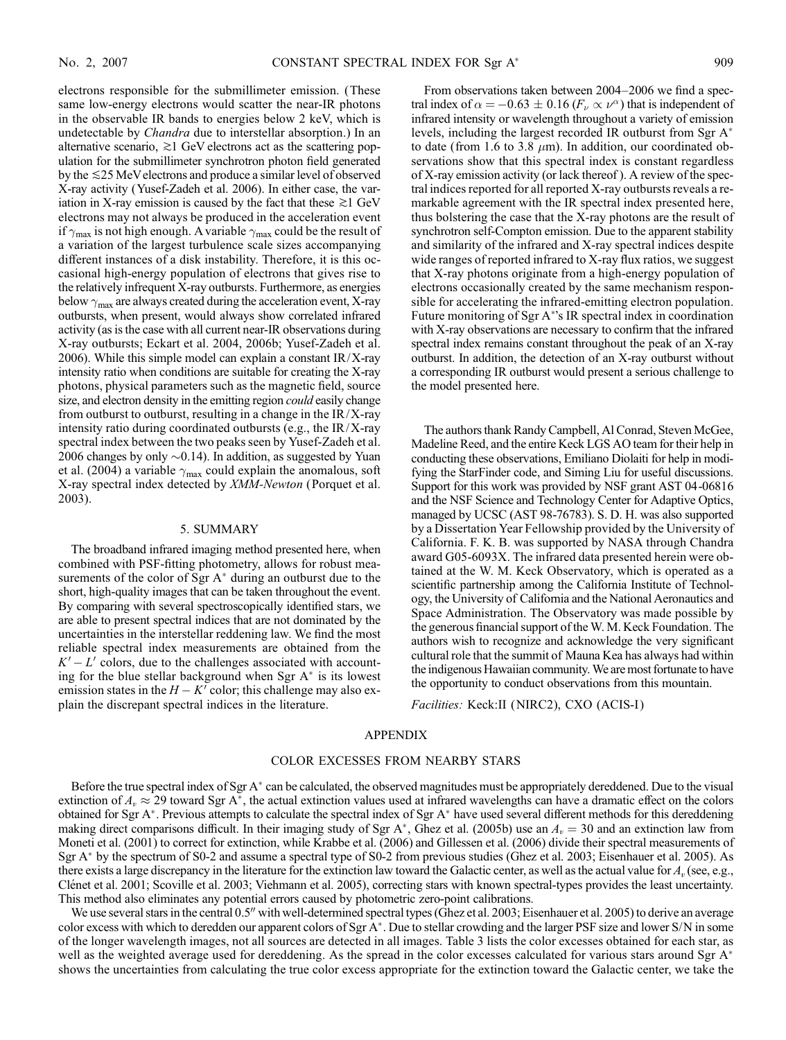electrons responsible for the submillimeter emission. (These same low-energy electrons would scatter the near-IR photons in the observable IR bands to energies below 2 keV, which is undetectable by *Chandra* due to interstellar absorption.) In an alternative scenario,  $\gtrsim$ 1 GeV electrons act as the scattering population for the submillimeter synchrotron photon field generated by the  $\leq$ 25 MeV electrons and produce a similar level of observed X-ray activity (Yusef-Zadeh et al. 2006). In either case, the variation in X-ray emission is caused by the fact that these  $\gtrsim$  I GeV electrons may not always be produced in the acceleration event if  $\gamma_{\text{max}}$  is not high enough. A variable  $\gamma_{\text{max}}$  could be the result of a variation of the largest turbulence scale sizes accompanying different instances of a disk instability. Therefore, it is this occasional high-energy population of electrons that gives rise to the relatively infrequent X-ray outbursts. Furthermore, as energies below  $\gamma_{\text{max}}$  are always created during the acceleration event, X-ray outbursts, when present, would always show correlated infrared activity (as is the case with all current near-IR observations during X-ray outbursts; Eckart et al. 2004, 2006b; Yusef-Zadeh et al. 2006). While this simple model can explain a constant  $IR/X$ -ray intensity ratio when conditions are suitable for creating the X-ray photons, physical parameters such as the magnetic field, source size, and electron density in the emitting region *could* easily change from outburst to outburst, resulting in a change in the  $IR/X$ -ray intensity ratio during coordinated outbursts (e.g., the IR/X-ray spectral index between the two peaks seen by Yusef-Zadeh et al. 2006 changes by only  ${\sim}0.14$ ). In addition, as suggested by Yuan et al. (2004) a variable  $\gamma_{\text{max}}$  could explain the anomalous, soft X-ray spectral index detected by XMM-Newton (Porquet et al. 2003).

#### 5. SUMMARY

The broadband infrared imaging method presented here, when combined with PSF-fitting photometry, allows for robust measurements of the color of Sgr  $A^*$  during an outburst due to the short, high-quality images that can be taken throughout the event. By comparing with several spectroscopically identified stars, we are able to present spectral indices that are not dominated by the uncertainties in the interstellar reddening law. We find the most reliable spectral index measurements are obtained from the  $K'-L'$  colors, due to the challenges associated with accounting for the blue stellar background when Sgr  $A^*$  is its lowest emission states in the  $H - K'$  color; this challenge may also explain the discrepant spectral indices in the literature.

From observations taken between 2004–2006 we find a spectral index of  $\alpha = -0.63 \pm 0.16$  ( $F_{\nu} \propto \nu^{\alpha}$ ) that is independent of infrared intensity or wavelength throughout a variety of emission levels, including the largest recorded IR outburst from Sgr A to date (from 1.6 to 3.8  $\mu$ m). In addition, our coordinated observations show that this spectral index is constant regardless of X-ray emission activity (or lack thereof ). A review of the spectral indices reported for all reported X-ray outbursts reveals a remarkable agreement with the IR spectral index presented here, thus bolstering the case that the X-ray photons are the result of synchrotron self-Compton emission. Due to the apparent stability and similarity of the infrared and X-ray spectral indices despite wide ranges of reported infrared to X-ray flux ratios, we suggest that X-ray photons originate from a high-energy population of electrons occasionally created by the same mechanism responsible for accelerating the infrared-emitting electron population. Future monitoring of Sgr A 's IR spectral index in coordination with X-ray observations are necessary to confirm that the infrared spectral index remains constant throughout the peak of an X-ray outburst. In addition, the detection of an X-ray outburst without a corresponding IR outburst would present a serious challenge to the model presented here.

The authors thank Randy Campbell, Al Conrad, Steven McGee, Madeline Reed, and the entire Keck LGS AO team for their help in conducting these observations, Emiliano Diolaiti for help in modifying the StarFinder code, and Siming Liu for useful discussions. Support for this work was provided by NSF grant AST 04-06816 and the NSF Science and Technology Center for Adaptive Optics, managed by UCSC (AST 98-76783). S. D. H. was also supported by a Dissertation Year Fellowship provided by the University of California. F. K. B. was supported by NASA through Chandra award G05-6093X. The infrared data presented herein were obtained at the W. M. Keck Observatory, which is operated as a scientific partnership among the California Institute of Technology, the University of California and the National Aeronautics and Space Administration. The Observatory was made possible by the generous financial support of the W. M. Keck Foundation. The authors wish to recognize and acknowledge the very significant cultural role that the summit of Mauna Kea has always had within the indigenous Hawaiian community.We are most fortunate to have the opportunity to conduct observations from this mountain.

Facilities: Keck:II (NIRC2), CXO (ACIS-I)

### APPENDIX

# COLOR EXCESSES FROM NEARBY STARS

Before the true spectral index of Sgr A<sup>\*</sup> can be calculated, the observed magnitudes must be appropriately dereddened. Due to the visual extinction of  $A_v \approx 29$  toward Sgr A<sup>\*</sup>, the actual extinction values used at infrared wavelengths can have a dramatic effect on the colors obtained for Sgr A<sup>\*</sup>. Previous attempts to calculate the spectral index of Sgr A<sup>\*</sup> have used several different methods for this dereddening making direct comparisons difficult. In their imaging study of Sgr A\*, Ghez et al. (2005b) use an  $A_v = 30$  and an extinction law from Moneti et al. (2001) to correct for extinction, while Krabbe et al. (2006) and Gillessen et al. (2006) divide their spectral measurements of Sgr A<sup>\*</sup> by the spectrum of S0-2 and assume a spectral type of S0-2 from previous studies (Ghez et al. 2003; Eisenhauer et al. 2005). As there exists a large discrepancy in the literature for the extinction law toward the Galactic center, as well as the actual value for  $A_v$  (see, e.g., Clénet et al. 2001; Scoville et al. 2003; Viehmann et al. 2005), correcting stars with known spectral-types provides the least uncertainty. This method also eliminates any potential errors caused by photometric zero-point calibrations.

We use several stars in the central 0.5" with well-determined spectral types (Ghez et al. 2003; Eisenhauer et al. 2005) to derive an average color excess with which to deredden our apparent colors of Sgr A\*. Due to stellar crowding and the larger PSF size and lower S/N in some of the longer wavelength images, not all sources are detected in all images. Table 3 lists the color excesses obtained for each star, as well as the weighted average used for dereddening. As the spread in the color excesses calculated for various stars around Sgr A<sup>\*</sup> shows the uncertainties from calculating the true color excess appropriate for the extinction toward the Galactic center, we take the